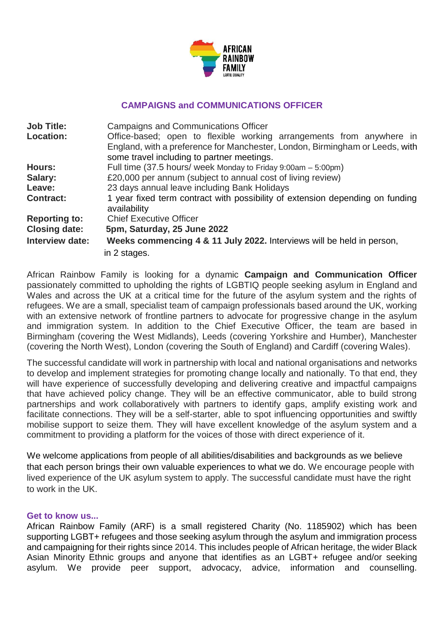

#### **CAMPAIGNS and COMMUNICATIONS OFFICER**

| <b>Job Title:</b>    | <b>Campaigns and Communications Officer</b>                                   |
|----------------------|-------------------------------------------------------------------------------|
| <b>Location:</b>     | Office-based; open to flexible working arrangements from anywhere in          |
|                      | England, with a preference for Manchester, London, Birmingham or Leeds, with  |
|                      | some travel including to partner meetings.                                    |
| <b>Hours:</b>        | Full time (37.5 hours/ week Monday to Friday 9:00am - 5:00pm)                 |
| Salary:              | £20,000 per annum (subject to annual cost of living review)                   |
| Leave:               | 23 days annual leave including Bank Holidays                                  |
| <b>Contract:</b>     | 1 year fixed term contract with possibility of extension depending on funding |
|                      | availability                                                                  |
| <b>Reporting to:</b> | <b>Chief Executive Officer</b>                                                |
| <b>Closing date:</b> | 5pm, Saturday, 25 June 2022                                                   |
| Interview date:      | Weeks commencing 4 & 11 July 2022. Interviews will be held in person,         |
|                      | in 2 stages.                                                                  |

African Rainbow Family is looking for a dynamic **Campaign and Communication Officer** passionately committed to upholding the rights of LGBTIQ people seeking asylum in England and Wales and across the UK at a critical time for the future of the asylum system and the rights of refugees. We are a small, specialist team of campaign professionals based around the UK, working with an extensive network of frontline partners to advocate for progressive change in the asylum and immigration system. In addition to the Chief Executive Officer, the team are based in Birmingham (covering the West Midlands), Leeds (covering Yorkshire and Humber), Manchester (covering the North West), London (covering the South of England) and Cardiff (covering Wales).

The successful candidate will work in partnership with local and national organisations and networks to develop and implement strategies for promoting change locally and nationally. To that end, they will have experience of successfully developing and delivering creative and impactful campaigns that have achieved policy change. They will be an effective communicator, able to build strong partnerships and work collaboratively with partners to identify gaps, amplify existing work and facilitate connections. They will be a self-starter, able to spot influencing opportunities and swiftly mobilise support to seize them. They will have excellent knowledge of the asylum system and a commitment to providing a platform for the voices of those with direct experience of it.

We welcome applications from people of all abilities/disabilities and backgrounds as we believe that each person brings their own valuable experiences to what we do. We encourage people with lived experience of the UK asylum system to apply. The successful candidate must have the right to work in the UK.

#### **Get to know us...**

African Rainbow Family (ARF) is a small registered Charity (No. 1185902) which has been supporting LGBT+ refugees and those seeking asylum through the asylum and immigration process and campaigning for their rights since 2014. This includes people of African heritage, the wider Black Asian Minority Ethnic groups and anyone that identifies as an LGBT+ refugee and/or seeking asylum. We provide peer support, advocacy, advice, information and counselling.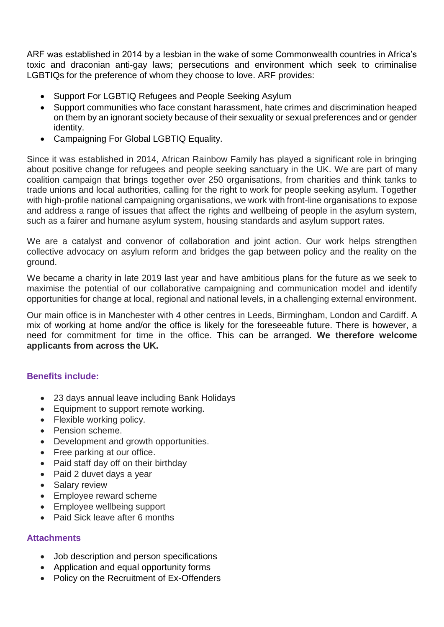ARF was established in 2014 by a lesbian in the wake of some Commonwealth countries in Africa's toxic and draconian anti-gay laws; persecutions and environment which seek to criminalise LGBTIQs for the preference of whom they choose to love. ARF provides:

- Support For LGBTIQ Refugees and People Seeking Asylum
- Support communities who face constant harassment, hate crimes and discrimination heaped on them by an ignorant society because of their sexuality or sexual preferences and or gender identity.
- Campaigning For Global LGBTIQ Equality.

Since it was established in 2014, African Rainbow Family has played a significant role in bringing about positive change for refugees and people seeking sanctuary in the UK. We are part of many coalition campaign that brings together over 250 organisations, from charities and think tanks to trade unions and local authorities, calling for the right to work for people seeking asylum. Together with high-profile national campaigning organisations, we work with front-line organisations to expose and address a range of issues that affect the rights and wellbeing of people in the asylum system, such as a fairer and humane asylum system, housing standards and asylum support rates.

We are a catalyst and convenor of collaboration and joint action. Our work helps strengthen collective advocacy on asylum reform and bridges the gap between policy and the reality on the ground.

We became a charity in late 2019 last year and have ambitious plans for the future as we seek to maximise the potential of our collaborative campaigning and communication model and identify opportunities for change at local, regional and national levels, in a challenging external environment.

Our main office is in Manchester with 4 other centres in Leeds, Birmingham, London and Cardiff. A mix of working at home and/or the office is likely for the foreseeable future. There is however, a need for commitment for time in the office. This can be arranged. **We therefore welcome applicants from across the UK.**

### **Benefits include:**

- 23 days annual leave including Bank Holidays
- Equipment to support remote working.
- Flexible working policy.
- Pension scheme.
- Development and growth opportunities.
- Free parking at our office.
- Paid staff day off on their birthday
- Paid 2 duvet days a year
- Salary review
- Employee reward scheme
- Employee wellbeing support
- Paid Sick leave after 6 months

### **Attachments**

- Job description and person specifications
- Application and equal opportunity forms
- Policy on the Recruitment of Ex-Offenders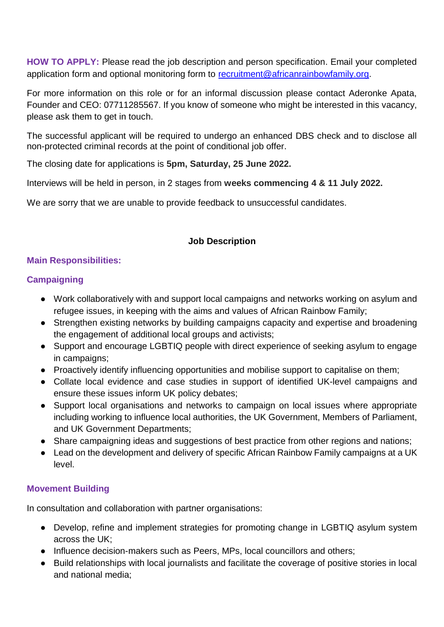**HOW TO APPLY:** Please read the job description and person specification. Email your completed application form and optional monitoring form to [recruitment@africanrainbowfamily.org.](mailto:recruitment@africanrainbowfamily.org)

For more information on this role or for an informal discussion please contact Aderonke Apata, Founder and CEO: 07711285567. If you know of someone who might be interested in this vacancy, please ask them to get in touch.

The successful applicant will be required to undergo an enhanced DBS check and to disclose all non-protected criminal records at the point of conditional job offer.

The closing date for applications is **5pm, Saturday, 25 June 2022.**

Interviews will be held in person, in 2 stages from **weeks commencing 4 & 11 July 2022.**

We are sorry that we are unable to provide feedback to unsuccessful candidates.

## **Job Description**

## **Main Responsibilities:**

# **Campaigning**

- Work collaboratively with and support local campaigns and networks working on asylum and refugee issues, in keeping with the aims and values of African Rainbow Family;
- Strengthen existing networks by building campaigns capacity and expertise and broadening the engagement of additional local groups and activists;
- Support and encourage LGBTIQ people with direct experience of seeking asylum to engage in campaigns;
- Proactively identify influencing opportunities and mobilise support to capitalise on them;
- Collate local evidence and case studies in support of identified UK-level campaigns and ensure these issues inform UK policy debates;
- Support local organisations and networks to campaign on local issues where appropriate including working to influence local authorities, the UK Government, Members of Parliament, and UK Government Departments;
- Share campaigning ideas and suggestions of best practice from other regions and nations;
- Lead on the development and delivery of specific African Rainbow Family campaigns at a UK level.

## **Movement Building**

In consultation and collaboration with partner organisations:

- Develop, refine and implement strategies for promoting change in LGBTIQ asylum system across the UK;
- Influence decision-makers such as Peers, MPs, local councillors and others;
- Build relationships with local journalists and facilitate the coverage of positive stories in local and national media;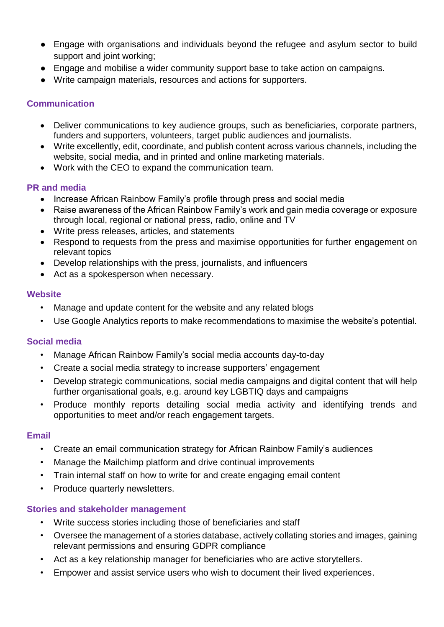- Engage with organisations and individuals beyond the refugee and asylum sector to build support and joint working;
- Engage and mobilise a wider community support base to take action on campaigns.
- Write campaign materials, resources and actions for supporters.

## **Communication**

- Deliver communications to key audience groups, such as beneficiaries, corporate partners, funders and supporters, volunteers, target public audiences and journalists.
- Write excellently, edit, coordinate, and publish content across various channels, including the website, social media, and in printed and online marketing materials.
- Work with the CEO to expand the communication team.

## **PR and media**

- Increase African Rainbow Family's profile through press and social media
- Raise awareness of the African Rainbow Family's work and gain media coverage or exposure through local, regional or national press, radio, online and TV
- Write press releases, articles, and statements
- Respond to requests from the press and maximise opportunities for further engagement on relevant topics
- Develop relationships with the press, journalists, and influencers
- Act as a spokesperson when necessary.

### **Website**

- Manage and update content for the website and any related blogs
- Use Google Analytics reports to make recommendations to maximise the website's potential.

## **Social media**

- Manage African Rainbow Family's social media accounts day-to-day
- Create a social media strategy to increase supporters' engagement
- Develop strategic communications, social media campaigns and digital content that will help further organisational goals, e.g. around key LGBTIQ days and campaigns
- Produce monthly reports detailing social media activity and identifying trends and opportunities to meet and/or reach engagement targets.

### **Email**

- Create an email communication strategy for African Rainbow Family's audiences
- Manage the Mailchimp platform and drive continual improvements
- Train internal staff on how to write for and create engaging email content
- Produce quarterly newsletters.

### **Stories and stakeholder management**

- Write success stories including those of beneficiaries and staff
- Oversee the management of a stories database, actively collating stories and images, gaining relevant permissions and ensuring GDPR compliance
- Act as a key relationship manager for beneficiaries who are active storytellers.
- Empower and assist service users who wish to document their lived experiences.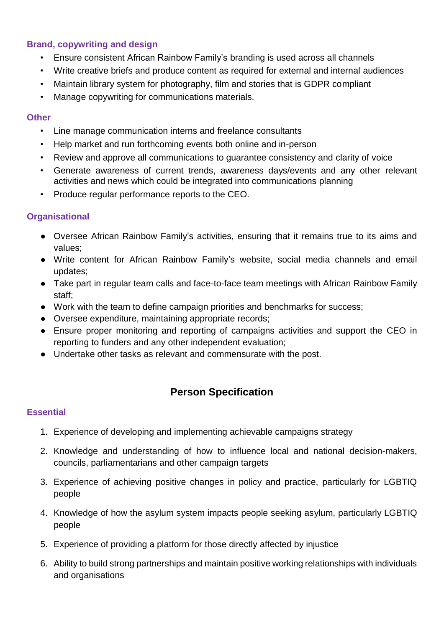### **Brand, copywriting and design**

- Ensure consistent African Rainbow Family's branding is used across all channels
- Write creative briefs and produce content as required for external and internal audiences
- Maintain library system for photography, film and stories that is GDPR compliant
- Manage copywriting for communications materials.

### **Other**

- Line manage communication interns and freelance consultants
- Help market and run forthcoming events both online and in-person
- Review and approve all communications to guarantee consistency and clarity of voice
- Generate awareness of current trends, awareness days/events and any other relevant activities and news which could be integrated into communications planning
- Produce regular performance reports to the CEO.

### **Organisational**

- Oversee African Rainbow Family's activities, ensuring that it remains true to its aims and values;
- Write content for African Rainbow Family's website, social media channels and email updates;
- Take part in regular team calls and face-to-face team meetings with African Rainbow Family staff;
- Work with the team to define campaign priorities and benchmarks for success;
- Oversee expenditure, maintaining appropriate records;
- Ensure proper monitoring and reporting of campaigns activities and support the CEO in reporting to funders and any other independent evaluation;
- Undertake other tasks as relevant and commensurate with the post.

# **Person Specification**

### **Essential**

- 1. Experience of developing and implementing achievable campaigns strategy
- 2. Knowledge and understanding of how to influence local and national decision-makers, councils, parliamentarians and other campaign targets
- 3. Experience of achieving positive changes in policy and practice, particularly for LGBTIQ people
- 4. Knowledge of how the asylum system impacts people seeking asylum, particularly LGBTIQ people
- 5. Experience of providing a platform for those directly affected by injustice
- 6. Ability to build strong partnerships and maintain positive working relationships with individuals and organisations